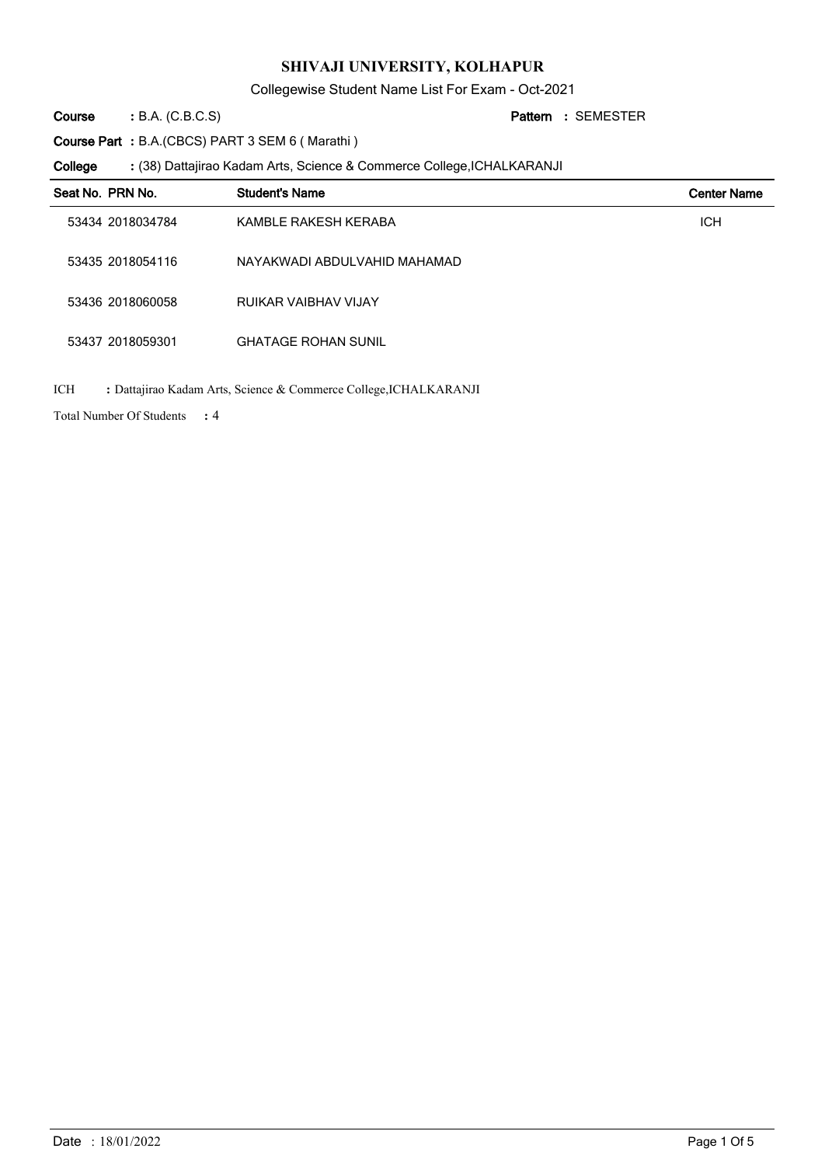Collegewise Student Name List For Exam - Oct-2021

B.A. (C.B.C.S) **: Pattern Course**

SEMESTER **:**

**Course Part :** B.A.(CBCS) PART 3 SEM 6 ( Marathi )

(38) Dattajirao Kadam Arts, Science & Commerce College,ICHALKARANJI **: College**

| Seat No. PRN No. | <b>Student's Name</b>        | <b>Center Name</b> |
|------------------|------------------------------|--------------------|
| 53434 2018034784 | KAMBLE RAKESH KERABA         | <b>ICH</b>         |
| 53435 2018054116 | NAYAKWADI ABDULVAHID MAHAMAD |                    |
| 53436 2018060058 | RUIKAR VAIBHAV VIJAY         |                    |
| 53437 2018059301 | <b>GHATAGE ROHAN SUNIL</b>   |                    |
|                  |                              |                    |

ICH **:** Dattajirao Kadam Arts, Science & Commerce College,ICHALKARANJI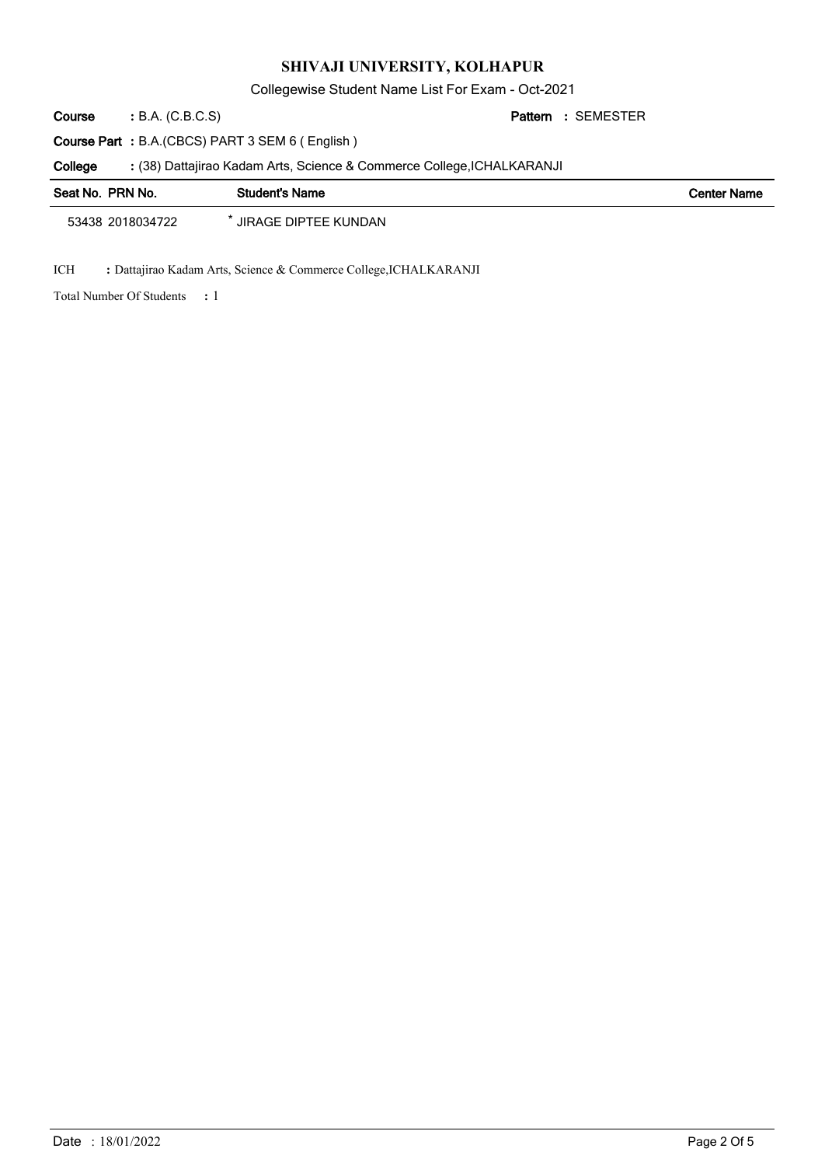Collegewise Student Name List For Exam - Oct-2021

B.A. (C.B.C.S) **: Pattern Course**

SEMESTER **:**

**Course Part :** B.A.(CBCS) PART 3 SEM 6 ( English )

(38) Dattajirao Kadam Arts, Science & Commerce College,ICHALKARANJI **: College**

| Seat No. PRN No. | <b>Student's Name</b>       | <b>Center Name</b> |
|------------------|-----------------------------|--------------------|
| 53438 2018034722 | <b>JIRAGE DIPTEE KUNDAN</b> |                    |

ICH **:** Dattajirao Kadam Arts, Science & Commerce College,ICHALKARANJI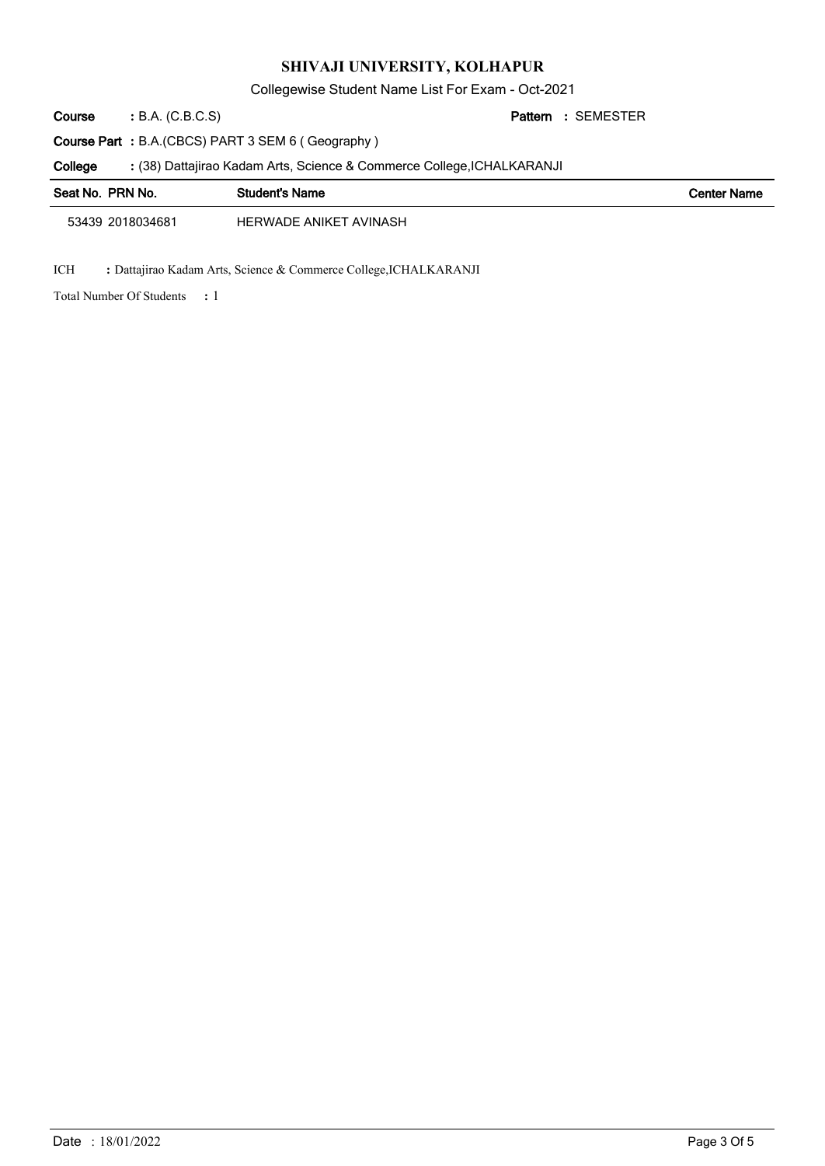Collegewise Student Name List For Exam - Oct-2021

B.A. (C.B.C.S) **: Pattern Course**

SEMESTER **:**

**Course Part :** B.A.(CBCS) PART 3 SEM 6 ( Geography )

(38) Dattajirao Kadam Arts, Science & Commerce College,ICHALKARANJI **: College**

| Seat No. PRN No. | <b>Student's Name</b>  | <b>Center Name</b> |
|------------------|------------------------|--------------------|
| 53439 2018034681 | HERWADE ANIKET AVINASH |                    |

ICH **:** Dattajirao Kadam Arts, Science & Commerce College,ICHALKARANJI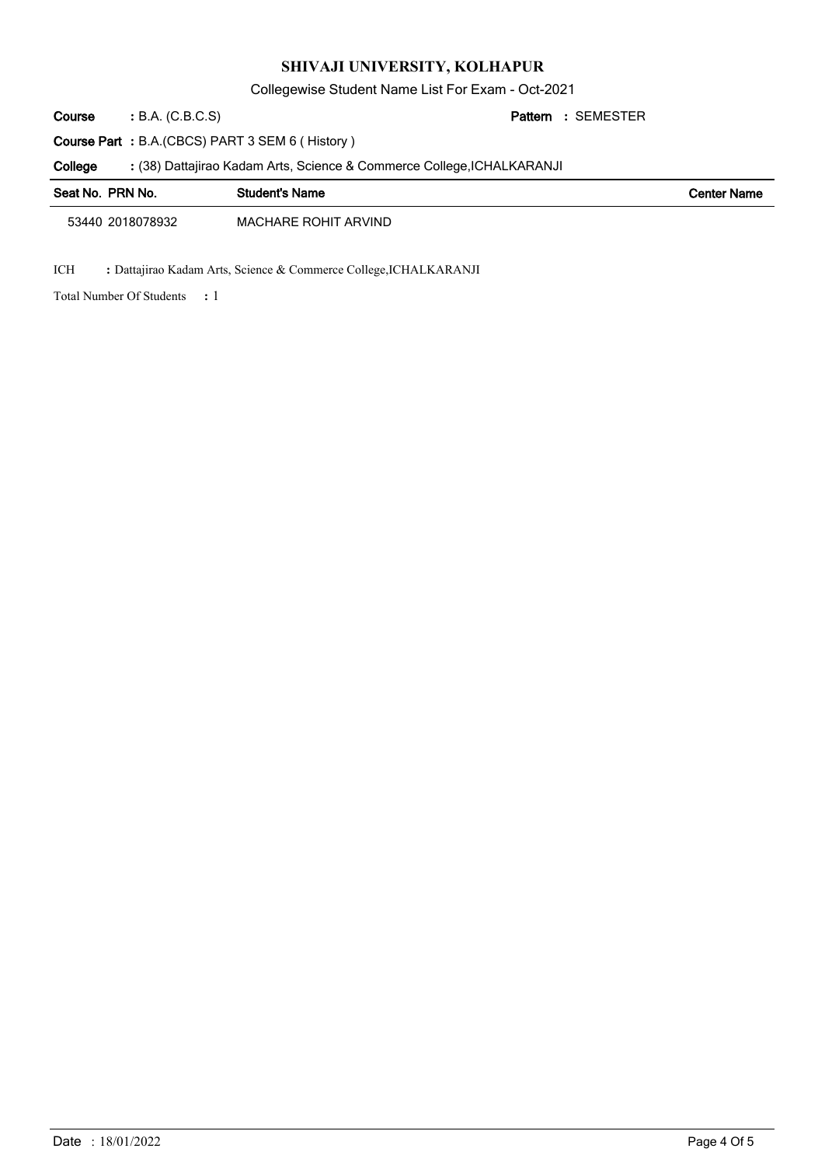Collegewise Student Name List For Exam - Oct-2021

B.A. (C.B.C.S) **: Pattern Course**

SEMESTER **:**

**Course Part :** B.A.(CBCS) PART 3 SEM 6 ( History )

(38) Dattajirao Kadam Arts, Science & Commerce College,ICHALKARANJI **: College**

| Seat No. PRN No. | <b>Student's Name</b> | <b>Center Name</b> |
|------------------|-----------------------|--------------------|
| 53440 2018078932 | MACHARE ROHIT ARVIND  |                    |

ICH **:** Dattajirao Kadam Arts, Science & Commerce College,ICHALKARANJI